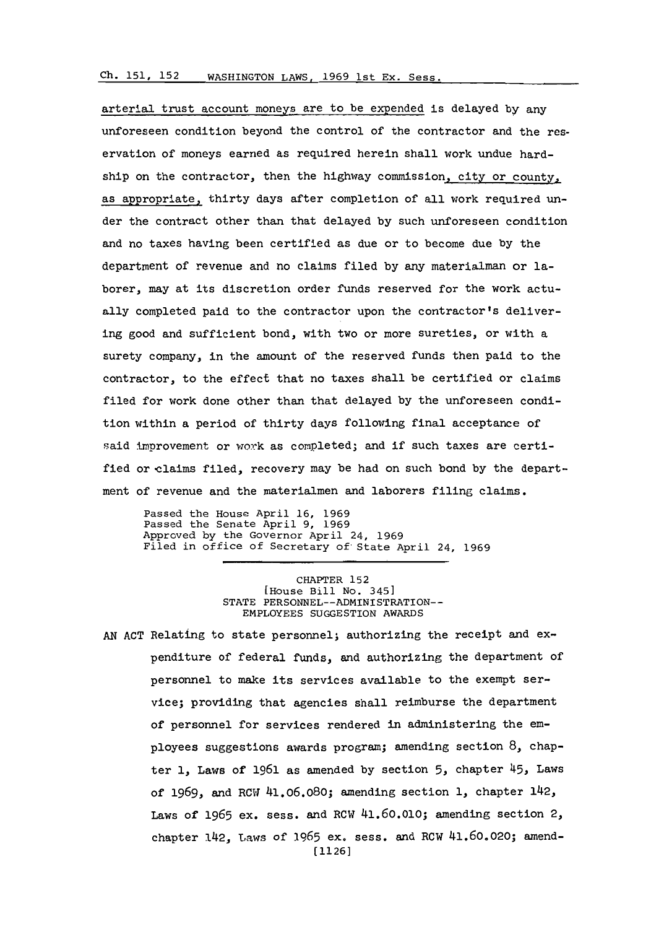## **Ch. 151. 152**WASHINGTON LAWS, 1969 lst Ex. Sess.

arterial trust account moneys are to be expended is delayed **by** any unforeseen condition beyond the control of the contractor and the reservation of moneys earned as required herein shall work undue hardship on the contractor, then the highway commission, city or county, as appropriate, thirty days after completion of all work required under the contract other than that delayed **by** such unforeseen condition and no taxes having been certified as due or to become due **by** the department of revenue and no claims filed **by** any materialman or laborer, may at its discretion order funds reserved for the work actually completed paid to the contractor upon the contractor's delivering good and sufficient bond, with two or more sureties, or with a surety company, in the amount of the reserved funds then paid to the contractor, to the effect that no taxes shall be certified or claims filed for work done other than that delayed **by** the unforeseen condition within a period of thirty days following final acceptance of said improvement or work as completed; and if such taxes are certified or claims filed, recovery may be had on such bond by the department of revenue and the materialmen and laborers filing claims.

Passed the House April **16, 1969** Passed the Senate April **9, 1969** Approved **by** the Governor April 24, **1969** Filed in of fice of Secretary of'State April 24, **1969**

> CHAPTER **152** [House Bill No. 345] **STATE** PERSONNEL--ADMINI STRAT ION-- EMPLOYEES **SUGGESTION** AWARDS

AN ACT Relating to state personnel; authorizing the receipt and expenditure of federal funds, and authorizing the department of personnel to make its services available to the exempt service; providing that agencies shall reimburse the department of personnel for services rendered in administering the employees suggestions awards program; amending section **8,** chapter 1, Laws of 1961 as amended by section 5, chapter 45, Laws of 1969, and RCW 41.06.080; amending section 1, chapter 142, Laws of **1965** ex. sess. and RCw 41.60.010; amending section **2,** chapter 142, Laws of **1965** ex. sess, and RCW 41.60.020; amend- **[1126]**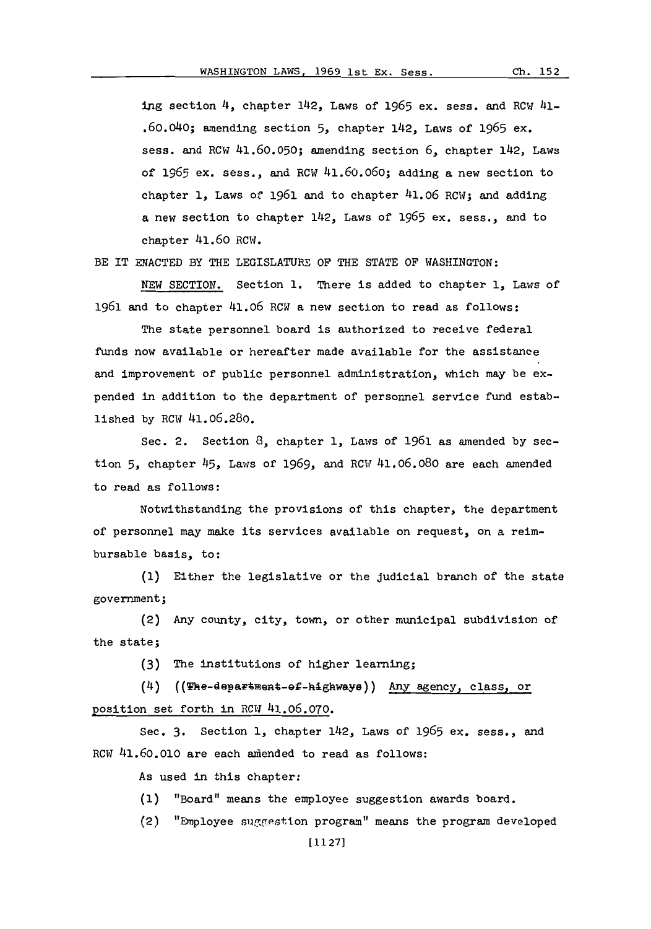**ipng** section 4, chapter 142, Laws of **1965** ex. sess. and ROW 41- .60.0)40; amending section **5,** chapter 142, Laws of **1965** ex. sess. and RCW 41.60.050; amending section 6, chapter 142, Laws of **165** ex. sess., and ROW 41.60.06o; adding a new section to chapter **1,** Laws of **1961** and to chapter 41.06 ROW; and adding a new section to chapter 142, Laws of 1965 ex. sess., and to chapter 41.60 RCW.

BE IT ENACTED BY THE LEGISLATURE OF THE STATE OF WASHINGTON:

**NEW** SECTION. Section **1.** There is added to chapter **1,** Laws of **1961** and to chapter 41.06 ROW a new section to read as follows:

The state personnel board is authorized to receive federal funds now available or hereafter made available for the assistance and improvement of public personnel administration, which may be expended in addition to the department of personnel service fund established **by** ROW 41.06.280.

Sec. 2. Section **8,** chapter **1,** Laws of **1961** as amended **by** section **5,** chapter 45, Laws of **1969,** and ROW 41.06.080 are each amended to read as follows:

Notwithstanding the provisions of this chapter, the department of personnel may make its services available on request, on a reimbursable basis, to:

**(1)** Either the legislative or the judicial branch of the state government;

(2) Any county, city, town, or other municipal subdivision of the state;

**(3)** The institutions of higher learning;

(4) ((The-department-ef-highways)) Any agency, class, or position set forth in ROW 41.06.070.

Sec. 3. Section 1, chapter 142, Laws of 1965 ex. sess., and RCW 41.60.010 are each amended to read as follows:

As used in this chapter:

**(1)** "Board" means the employee suggestion awards board.

(2) "Employee suggestion program" means the program developed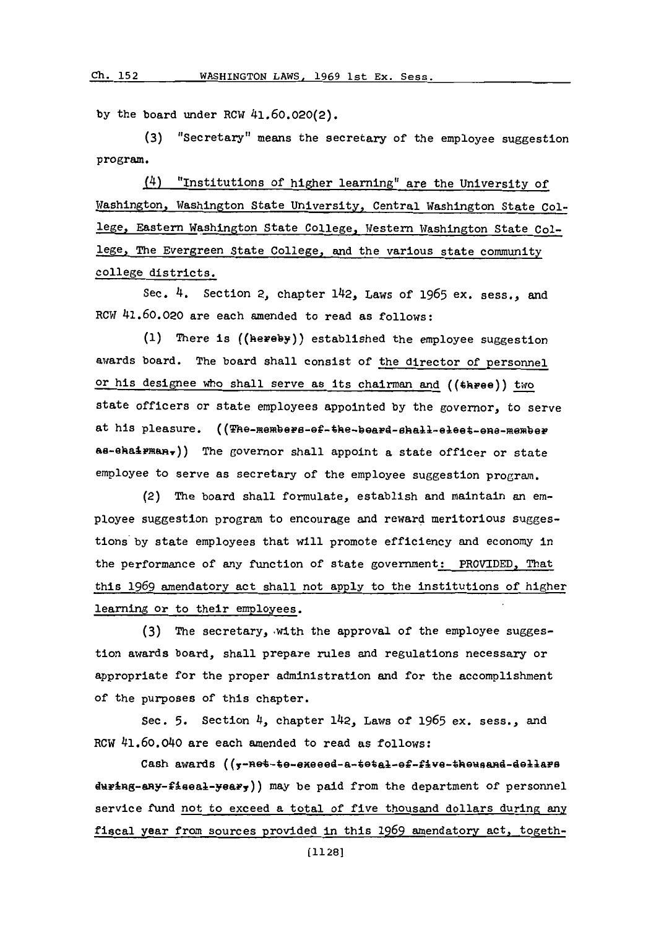**by** the board under RCW 41.60.020(2).

**(3)** "Secretary" means the secretary of the employee suggestion *program.*

(4) "Institutions of higher learning" are the University of Washington. Washington State University, Central Washington State Co1 lege, Eastern Washington State College. Western Washington State College, The Evergreen State College, and the various state community college districts.

Se.4. Section 2, chapter 142, Laws of *1965* ex. sess. and RCW 41.60.020 are each amended to read as follows:

**(1)** There is ((hereby)) established the employee suggestion awards board. The board shall consist of the director of personnel or his designee who shall serve as its chairman and ((three)) two state officers or state employees appointed **by** the governor, to serve at his pleasure. ((The-members-ef-the-beard-shall-elect-ene-member as-ehairman<sub>r</sub>)) The governor shall appoint a state officer or state employee to serve as secretary of the employee suggestion program.

(2) The board shall formulate, establish and maintain an employee suggestion program to encourage and reward meritorious suggestions'by state employees that will promote efficiency and economy in the performance of any function of state government: PROVIDED, That this **1969** amendatory act shall not apply to the institutions of higher learning or to their employees.

**(3)** The secretary,.with the approval of the employee suggestion awards board, shall prepare rules and regulations necessary or appropriate for the proper administration and for the accomplishment of the purposes of this chapter.

Sec. **5.** Section 4, chapter 142, Laws of **1965** ex. sess., and RCW 41.60.040 are each amended to read as follows:

Cash awards ((y-net-te-exeeed-a-tetal-ef-five-theusand-dellars  $div4ng$ -any-fiseal-yeary) may be paid from the department of personnel service fund not to exceed a total of five thousand dollars during any fiscal year from sources provided in this **1969** amendatory act. togeth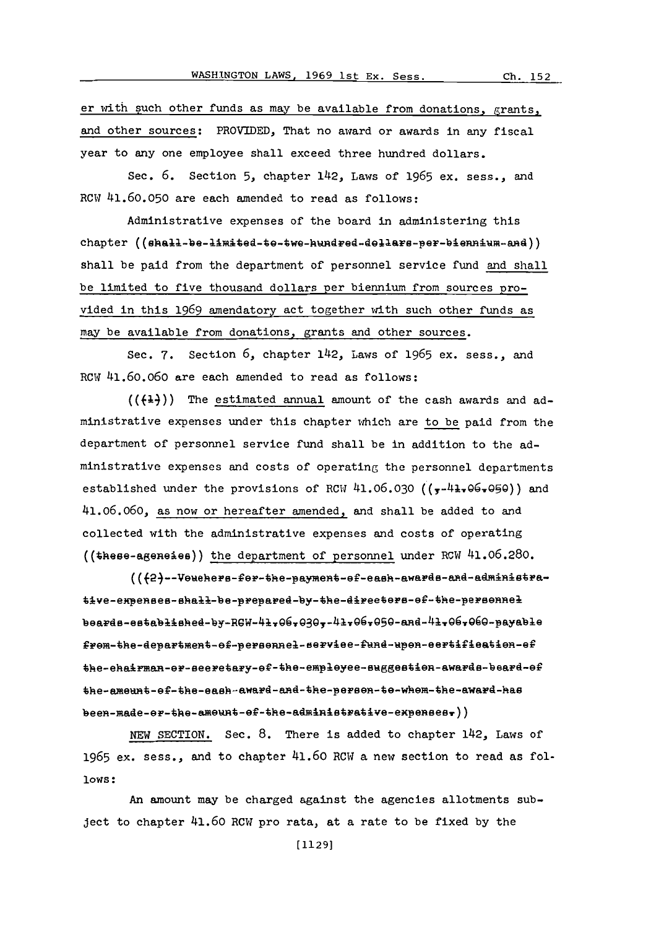er with such other funds as may be available from donations, grants, and other sources: PROVIDED, That no award or awards in any fiscal year to any one employee shall exceed three hundred dollars.

Sec. **6.** Section **5,** chapter 1~42, Laws of **1965** ex. sess., and ROW 41.60.050 are each amended to read as follows:

Administrative expenses of the board in administering this chapter ((shall-be-limited-to-two-hundred-dollars-per-biennium-and)) shall be paid from the department of personnel service fund and shall be limited to five thousand dollars per biennium from sources provided in this **1969** amendatory act together with such other funds as may be available from donations, grants and other sources.

Sec. 7. Section 6, chapter 142, Laws of 1965 ex. sess., and ROW 41.60.060 are each amended to read as follows:

 $((+1))$  The estimated annual amount of the cash awards and administrative expenses under this chapter which are to be paid from the department of personnel service fund shall be in addition to the administrative expenscs and costs of operating the personnel departments established under the provisions of RCW 41.06.030 ( $\frac{}{y^{-4}}$ +,06,090) and 41.06.060, as now or hereafter amended, and shall be added to and collected with the administrative expenses and costs of operating (( $\text{these-agene}$ ies)) the department of personnel under RCW 41.06.280.

(({2}--Vouchers-for-the-payment-of-eash-awards-and-administrative-expenses-shall-be-prepared-by-the-directors-of-the-personnel beards-established-by-RGW-41,06,030,-41,06,050-and-41,06,060-payable from-the-department-of-personnel-service-fund-upon-certification-ef the-ehairman-or-seeretary-of-the-employee-suggestion-awards-board-of the-ameunt-of-the-eash-award-and-the-person-to-whom-the-award-has  $begin{pmatrix} -\text{model} - \text{pred} & -\text{t-1} & -\text{t-1} & -\text{t-1} & -\text{t-1} & -\text{t-1} & -\text{t-1} & -\text{t-1} & -\text{t-1} & -\text{t-1} & -\text{t-1} & -\text{t-1} & -\text{t-1} & -\text{t-1} & -\text{t-1} & -\text{t-1} & -\text{t-1} & -\text{t-1} & -\text{t-1} & -\text{t-1} & -\text{t-1} & -\text{t-1} & -\text{t-1} & -\text{$ 

**NEW** SECTION. Sec. **8.** There is added to chapter 1142, Laws of **1965** ex, sess., and to chapter 41,60 RCW a new section to read as fol**lows:**

An amount may be charged against the agencies allotments subject to chapter 41.60 RCW pro rata, at a rate to be fixed by the